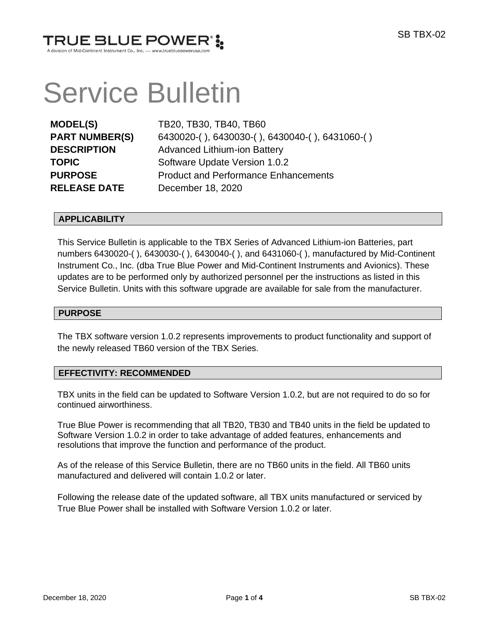

# Service Bulletin

**RELEASE DATE** December 18, 2020

**MODEL(S)** TB20, TB30, TB40, TB60 **PART NUMBER(S)** 6430020-( ), 6430030-( ), 6430040-( ), 6431060-( ) **DESCRIPTION** Advanced Lithium-ion Battery **TOPIC** Software Update Version 1.0.2 **PURPOSE** Product and Performance Enhancements

## **APPLICABILITY**

This Service Bulletin is applicable to the TBX Series of Advanced Lithium-ion Batteries, part numbers 6430020-( ), 6430030-( ), 6430040-( ), and 6431060-( ), manufactured by Mid-Continent Instrument Co., Inc. (dba True Blue Power and Mid-Continent Instruments and Avionics). These updates are to be performed only by authorized personnel per the instructions as listed in this Service Bulletin. Units with this software upgrade are available for sale from the manufacturer.

#### **PURPOSE**

The TBX software version 1.0.2 represents improvements to product functionality and support of the newly released TB60 version of the TBX Series.

## **EFFECTIVITY: RECOMMENDED**

TBX units in the field can be updated to Software Version 1.0.2, but are not required to do so for continued airworthiness.

True Blue Power is recommending that all TB20, TB30 and TB40 units in the field be updated to Software Version 1.0.2 in order to take advantage of added features, enhancements and resolutions that improve the function and performance of the product.

As of the release of this Service Bulletin, there are no TB60 units in the field. All TB60 units manufactured and delivered will contain 1.0.2 or later.

Following the release date of the updated software, all TBX units manufactured or serviced by True Blue Power shall be installed with Software Version 1.0.2 or later.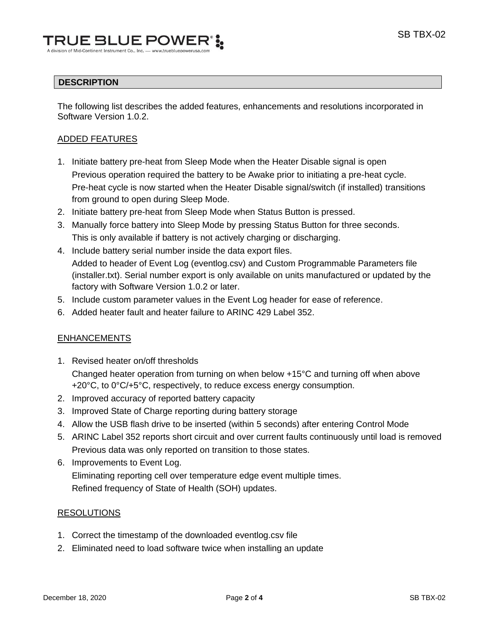# **DESCRIPTION**

The following list describes the added features, enhancements and resolutions incorporated in Software Version 1.0.2.

# ADDED FEATURES

- 1. Initiate battery pre-heat from Sleep Mode when the Heater Disable signal is open Previous operation required the battery to be Awake prior to initiating a pre-heat cycle. Pre-heat cycle is now started when the Heater Disable signal/switch (if installed) transitions from ground to open during Sleep Mode.
- 2. Initiate battery pre-heat from Sleep Mode when Status Button is pressed.
- 3. Manually force battery into Sleep Mode by pressing Status Button for three seconds. This is only available if battery is not actively charging or discharging.
- 4. Include battery serial number inside the data export files. Added to header of Event Log (eventlog.csv) and Custom Programmable Parameters file (installer.txt). Serial number export is only available on units manufactured or updated by the factory with Software Version 1.0.2 or later.
- 5. Include custom parameter values in the Event Log header for ease of reference.
- 6. Added heater fault and heater failure to ARINC 429 Label 352.

# ENHANCEMENTS

- 1. Revised heater on/off thresholds Changed heater operation from turning on when below +15°C and turning off when above +20°C, to 0°C/+5°C, respectively, to reduce excess energy consumption.
- 2. Improved accuracy of reported battery capacity
- 3. Improved State of Charge reporting during battery storage
- 4. Allow the USB flash drive to be inserted (within 5 seconds) after entering Control Mode
- 5. ARINC Label 352 reports short circuit and over current faults continuously until load is removed Previous data was only reported on transition to those states.
- 6. Improvements to Event Log. Eliminating reporting cell over temperature edge event multiple times. Refined frequency of State of Health (SOH) updates.

## RESOLUTIONS

- 1. Correct the timestamp of the downloaded eventlog.csv file
- 2. Eliminated need to load software twice when installing an update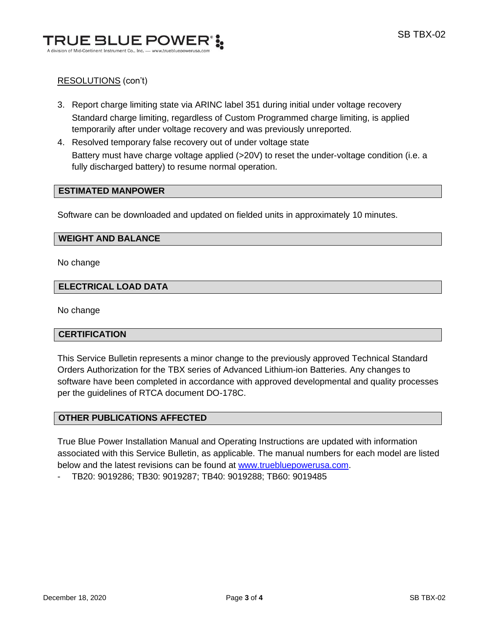

# RESOLUTIONS (con't)

- 3. Report charge limiting state via ARINC label 351 during initial under voltage recovery Standard charge limiting, regardless of Custom Programmed charge limiting, is applied temporarily after under voltage recovery and was previously unreported.
- 4. Resolved temporary false recovery out of under voltage state Battery must have charge voltage applied (>20V) to reset the under-voltage condition (i.e. a fully discharged battery) to resume normal operation.

## **ESTIMATED MANPOWER**

Software can be downloaded and updated on fielded units in approximately 10 minutes.

#### **WEIGHT AND BALANCE**

No change

#### **ELECTRICAL LOAD DATA**

No change

## **CERTIFICATION**

This Service Bulletin represents a minor change to the previously approved Technical Standard Orders Authorization for the TBX series of Advanced Lithium-ion Batteries. Any changes to software have been completed in accordance with approved developmental and quality processes per the guidelines of RTCA document DO-178C.

# **OTHER PUBLICATIONS AFFECTED**

True Blue Power Installation Manual and Operating Instructions are updated with information associated with this Service Bulletin, as applicable. The manual numbers for each model are listed below and the latest revisions can be found at [www.truebluepowerusa.com.](http://www.truebluepowerusa.com/)

- TB20: 9019286; TB30: 9019287; TB40: 9019288; TB60: 9019485